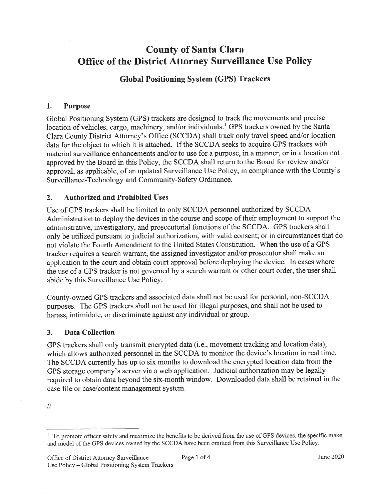# County of Santa Clara Office of the District Attorney Surveillance Use Policy

## Global Positioning System (GPS) Trackers

## 1. Purpose

Global Positioning System (GPS) trackers are designed to track the movements and precise location of vehicles, cargo, machinery, and/or individuals.<sup>1</sup> GPS trackers owned by the Santa Clara County District Attorney's Office (SCCDA) shall track only travel speed and/or location data for the object to which it is attached. If the SCCDA seeks to acquire GPS trackers with material surveillance enhancements and/or to use for a purpose, in a manner, or in a location not approved by the Board in this Policy, the SCCDA shall return to the Board for review and/or approval, as applicable, of an updated Surveillance Use Policy, in compliance with the County's Surveillance-Technology and Community-Safety Ordinance.

#### 2. Authorized and Prohibited Uses

Use of GPS trackers shall be limited to only SCCDA personnel authorized by SCCDA Administration to deploy the devices in the course and scope of their employment to support the administrative, investigatory, and prosecutorial functions of the SCCDA. GPS trackers shall only be utilized pursuant to judicial authorization; with valid consent; or in circumstances that do not violate the Fourth Amendment to the United States Constitution. When the use of a GPS tracker requires a search warrant, the assigned investigator and/or prosecutor shall make an application to the court and obtain court approval before deploying the device. In cases where the use of a GPS tracker is not govemed by a search warrant or other court order, the user shall abide by this Surveillance Use Policy.

County-owned GPS trackers and associated data shall not be used for personal, non-SCCDA purposes. The GPS trackers shall not be used for illegal purposes, and shall not be used to harass, intimidate, or discriminate against any individual or group.

## 3. Data Collection

GPS trackers shall only transmit encrypted data (i.e., movement tracking and location data), which allows authorized personnel in the SCCDA to monitor the device's location in real time. The SCCDA currently has up to six months to download the encrypted location data from the GPS storage company's server via a web application. Judicial authorization may be legally required to obtain data beyond the six-month window. Downloaded data shall be retained in the case file or case/content management system.

 $\mathcal{U}% _{M_{1},M_{2}}^{\alpha,\beta}(\varepsilon)$ 

 $<sup>1</sup>$  To promote officer safety and maximize the benefits to be derived from the use of GPS devices, the specific make</sup> and model of the GPS devices owned by the SCCDA have been omitted from this Surveillance Use Policy.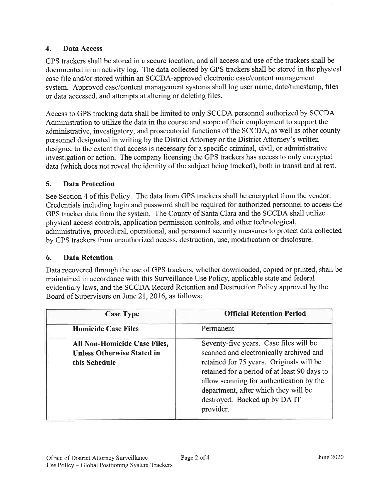## 4. Data Access

GPS trackers shall be stored in a secure location, and all access and use of the trackers shall be documented in an activity log. The data collected by GPS trackers shall be stored in the physical case file and/or stored within an SCCDA-approved electronic case/content management system. Approved case/content management systems shall log user name, date/timestamp, files or data accessed, and attempts at altering or deleting files.

Access to GPS tracking data shall be limited to only SCCDA personnel authorized by SCCDA Administration to utilize the data in the course and scope of their employment to support the administrative, investigatory, and prosecutorial functions of the SCCDA, as well as other county personnel designated in writing by the District Attorney or the District Attorney's written designee to the extent that access is necessary for a specific criminal, civil, or administrative investigation or action. The company licensing the GPS trackers has access to only encrypted data (which does not reveal the identity of the subject being tracked), both in transit and at rest.

## 5. Data Protection

See Section 4 of this Policy. The data from GPS trackers shall be encrypted from the vendor. Credentials including login and password shall be required for authorized personnel to access the GPS tracker data from the system. The County of Santa Clara and the SCCDA shall utilize physical access controls, application permission controls, and other technological, administrative, procedural, operational, and personnel security measures to protect data collected by GPS trackers from unauthorized access, destruction, use, modification or disclosure.

#### 6. Data Retention

Data recovered through the use of GPS trackers, whether downloaded, copied or printed, shall be maintained in accordance with this Surveillance Use Policy, applicable state and federal evidentiary laws, and the SCCDA Record Retention and Destruction Policy approved by the Board of Supervisors on lune2l,2016, as follows:

| <b>Case Type</b>                                                                   | <b>Official Retention Period</b>                                                                                                                                                                                                                                                                                |
|------------------------------------------------------------------------------------|-----------------------------------------------------------------------------------------------------------------------------------------------------------------------------------------------------------------------------------------------------------------------------------------------------------------|
| <b>Homicide Case Files</b>                                                         | Permanent                                                                                                                                                                                                                                                                                                       |
| All Non-Homicide Case Files,<br><b>Unless Otherwise Stated in</b><br>this Schedule | Seventy-five years. Case files will be<br>scanned and electronically archived and<br>retained for 75 years. Originals will be<br>retained for a period of at least 90 days to<br>allow scanning for authentication by the<br>department, after which they will be<br>destroyed. Backed up by DA IT<br>provider. |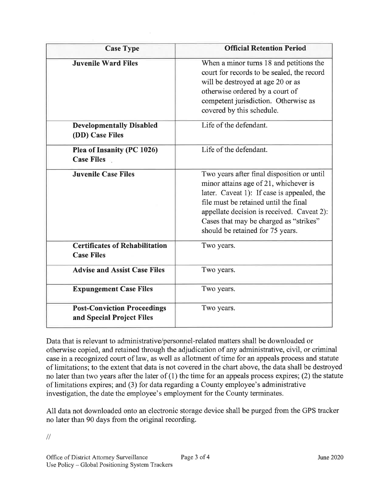| <b>Case Type</b>                                                | <b>Official Retention Period</b>                                                                                                                                                                                                                                                                       |
|-----------------------------------------------------------------|--------------------------------------------------------------------------------------------------------------------------------------------------------------------------------------------------------------------------------------------------------------------------------------------------------|
| <b>Juvenile Ward Files</b>                                      | When a minor turns 18 and petitions the<br>court for records to be sealed, the record<br>will be destroyed at age 20 or as<br>otherwise ordered by a court of<br>competent jurisdiction. Otherwise as<br>covered by this schedule.                                                                     |
| <b>Developmentally Disabled</b><br>(DD) Case Files              | Life of the defendant.                                                                                                                                                                                                                                                                                 |
| Plea of Insanity (PC 1026)<br><b>Case Files</b>                 | Life of the defendant.                                                                                                                                                                                                                                                                                 |
| <b>Juvenile Case Files</b>                                      | Two years after final disposition or until<br>minor attains age of 21, whichever is<br>later. Caveat 1): If case is appealed, the<br>file must be retained until the final<br>appellate decision is received. Caveat 2):<br>Cases that may be charged as "strikes"<br>should be retained for 75 years. |
| <b>Certificates of Rehabilitation</b><br><b>Case Files</b>      | Two years.                                                                                                                                                                                                                                                                                             |
| <b>Advise and Assist Case Files</b>                             | Two years.                                                                                                                                                                                                                                                                                             |
| <b>Expungement Case Files</b>                                   | Two years.                                                                                                                                                                                                                                                                                             |
| <b>Post-Conviction Proceedings</b><br>and Special Project Files | Two years.                                                                                                                                                                                                                                                                                             |

Data that is relevant to administrative/personnel-related matters shall be downloaded or otherwise copied, and retained through the adjudication of any administrative, civil, or criminal case in arecognized court of law, as well as allotment of time for an appeals process and statute of limitations; to the extent that data is not covered in the chart above, the data shall be destroyed no later than two years after the later of  $(1)$  the time for an appeals process expires;  $(2)$  the statute of limitations expires; and (3) for data regarding a County employee's administrative investigation, the date the employee's employment for the County terminates.

All data not downloaded onto an electronic storage device shall be purged from the GPS tracker no later than 90 days from the original recording.

 $\frac{1}{2}$